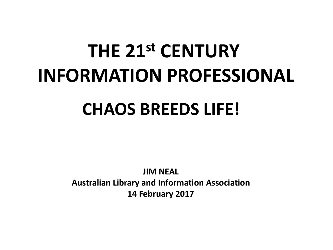# **THE 21st CENTURY INFORMATION PROFESSIONAL CHAOS BREEDS LIFE!**

**JIM NEAL Australian Library and Information Association 14 February 2017**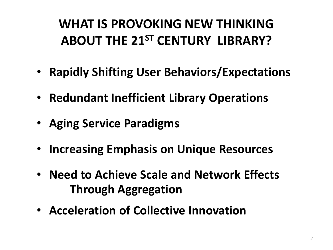### **WHAT IS PROVOKING NEW THINKING ABOUT THE 21ST CENTURY LIBRARY?**

- **Rapidly Shifting User Behaviors/Expectations**
- **Redundant Inefficient Library Operations**
- **Aging Service Paradigms**
- **Increasing Emphasis on Unique Resources**
- **Need to Achieve Scale and Network Effects Through Aggregation**
- **Acceleration of Collective Innovation**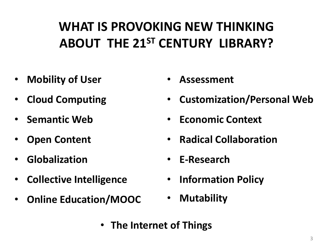### **WHAT IS PROVOKING NEW THINKING ABOUT THE 21ST CENTURY LIBRARY?**

- **Mobility of User**
- **Cloud Computing**
- **Semantic Web**
- **Open Content**
- **Globalization**
- **Collective Intelligence**
- **Online Education/MOOC**
- **Assessment**
- **Customization/Personal Web**
- **Economic Context**
- **Radical Collaboration**
- **E-Research**
- **Information Policy**
- **Mutability**
- **The Internet of Things**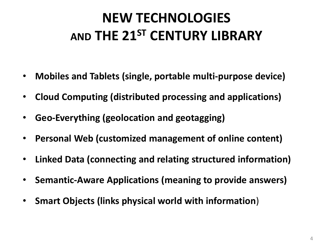### **NEW TECHNOLOGIES AND THE 21ST CENTURY LIBRARY**

- **Mobiles and Tablets (single, portable multi-purpose device)**
- **Cloud Computing (distributed processing and applications)**
- **Geo-Everything (geolocation and geotagging)**
- **Personal Web (customized management of online content)**
- **Linked Data (connecting and relating structured information)**
- **Semantic-Aware Applications (meaning to provide answers)**
- **Smart Objects (links physical world with information**)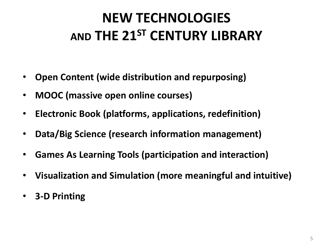### **NEW TECHNOLOGIES AND THE 21ST CENTURY LIBRARY**

- **Open Content (wide distribution and repurposing)**
- **MOOC (massive open online courses)**
- **Electronic Book (platforms, applications, redefinition)**
- **Data/Big Science (research information management)**
- **Games As Learning Tools (participation and interaction)**
- **Visualization and Simulation (more meaningful and intuitive)**
- **3-D Printing**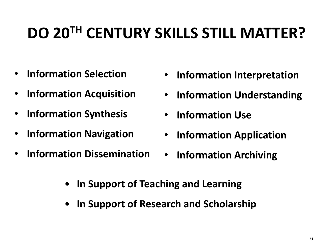## **DO 20TH CENTURY SKILLS STILL MATTER?**

- **Information Selection**
- **Information Acquisition**
- **Information Synthesis**
- **Information Navigation**
- **Information Dissemination**
- **Information Interpretation**
- **Information Understanding**
- **Information Use**
- **Information Application**
- **Information Archiving**
- **In Support of Teaching and Learning**
- **In Support of Research and Scholarship**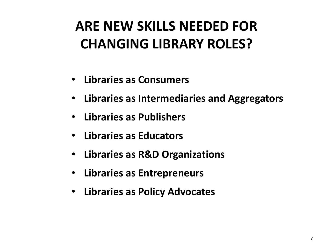### **ARE NEW SKILLS NEEDED FOR CHANGING LIBRARY ROLES?**

- **Libraries as Consumers**
- **Libraries as Intermediaries and Aggregators**
- **Libraries as Publishers**
- **Libraries as Educators**
- **Libraries as R&D Organizations**
- **Libraries as Entrepreneurs**
- **Libraries as Policy Advocates**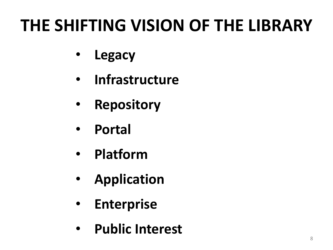## **THE SHIFTING VISION OF THE LIBRARY**

- **Legacy**
- **Infrastructure**
- **Repository**
- **Portal**
- **Platform**
- **Application**
- **Enterprise**
- **Public Interest**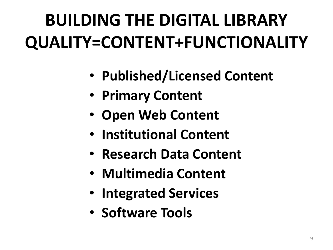# **BUILDING THE DIGITAL LIBRARY QUALITY=CONTENT+FUNCTIONALITY**

- **Published/Licensed Content**
- **Primary Content**
- **Open Web Content**
- **Institutional Content**
- **Research Data Content**
- **Multimedia Content**
- **Integrated Services**
- **Software Tools**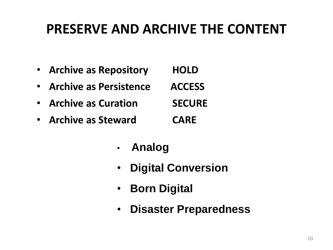#### **PRESERVE AND ARCHIVE THE CONTENT**

| • Archive as Repository  | <b>HOLD</b>   |
|--------------------------|---------------|
| • Archive as Persistence | <b>ACCESS</b> |
| • Archive as Curation    | <b>SECURE</b> |
| • Archive as Steward     | <b>CARE</b>   |

- **Analog**
- **Digital Conversion**
- **Born Digital**
- **Disaster Preparedness**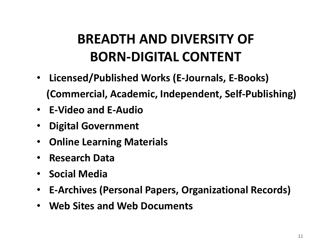### **BREADTH AND DIVERSITY OF BORN-DIGITAL CONTENT**

- **Licensed/Published Works (E-Journals, E-Books) (Commercial, Academic, Independent, Self-Publishing)**
- **E-Video and E-Audio**
- **Digital Government**
- **Online Learning Materials**
- **Research Data**
- **Social Media**
- **E-Archives (Personal Papers, Organizational Records)**
- **Web Sites and Web Documents**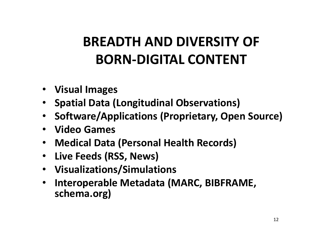### **BREADTH AND DIVERSITY OF BORN-DIGITAL CONTENT**

- **Visual Images**
- **Spatial Data (Longitudinal Observations)**
- **Software/Applications (Proprietary, Open Source)**
- **Video Games**
- **Medical Data (Personal Health Records)**
- **Live Feeds (RSS, News)**
- **Visualizations/Simulations**
- **Interoperable Metadata (MARC, BIBFRAME, schema.org)**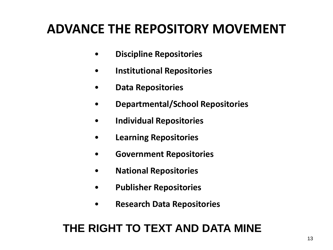#### **ADVANCE THE REPOSITORY MOVEMENT**

- **Discipline Repositories**
- **Institutional Repositories**
- **Data Repositories**
- **Departmental/School Repositories**
- **Individual Repositories**
- **Learning Repositories**
- **Government Repositories**
- **National Repositories**
- **Publisher Repositories**
- **Research Data Repositories**

#### **THE RIGHT TO TEXT AND DATA MINE**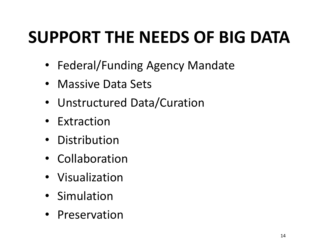## **SUPPORT THE NEEDS OF BIG DATA**

- Federal/Funding Agency Mandate
- Massive Data Sets
- Unstructured Data/Curation
- Extraction
- Distribution
- Collaboration
- Visualization
- Simulation
- Preservation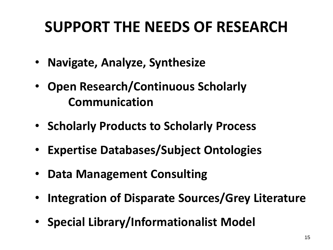## **SUPPORT THE NEEDS OF RESEARCH**

- **Navigate, Analyze, Synthesize**
- **Open Research/Continuous Scholarly Communication**
- **Scholarly Products to Scholarly Process**
- **Expertise Databases/Subject Ontologies**
- **Data Management Consulting**
- **Integration of Disparate Sources/Grey Literature**
- **Special Library/Informationalist Model**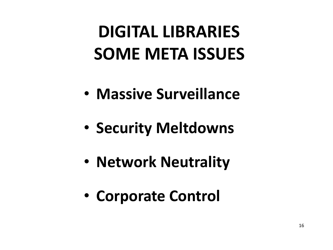## **DIGITAL LIBRARIES SOME META ISSUES**

- **Massive Surveillance**
- **Security Meltdowns**
- **Network Neutrality**
- **Corporate Control**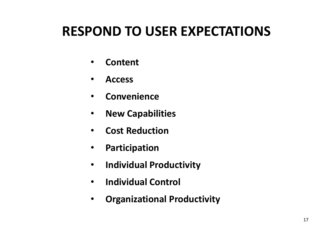### **RESPOND TO USER EXPECTATIONS**

- **Content**
- **Access**
- **Convenience**
- **New Capabilities**
- **Cost Reduction**
- **Participation**
- **Individual Productivity**
- **Individual Control**
- **Organizational Productivity**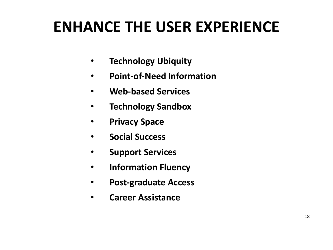## **ENHANCE THE USER EXPERIENCE**

- **Technology Ubiquity**
- **Point-of-Need Information**
- **Web-based Services**
- **Technology Sandbox**
- **Privacy Space**
- **Social Success**
- **Support Services**
- **Information Fluency**
- **Post-graduate Access**
- **Career Assistance**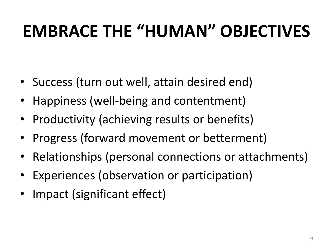## **EMBRACE THE "HUMAN" OBJECTIVES**

- Success (turn out well, attain desired end)
- Happiness (well-being and contentment)
- Productivity (achieving results or benefits)
- Progress (forward movement or betterment)
- Relationships (personal connections or attachments)
- Experiences (observation or participation)
- Impact (significant effect)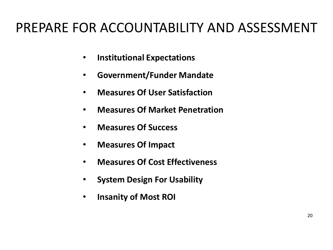### PREPARE FOR ACCOUNTABILITY AND ASSESSMENT

- **Institutional Expectations**
- **Government/Funder Mandate**
- **Measures Of User Satisfaction**
- **Measures Of Market Penetration**
- **Measures Of Success**
- **Measures Of Impact**
- **Measures Of Cost Effectiveness**
- **System Design For Usability**
- **Insanity of Most ROI**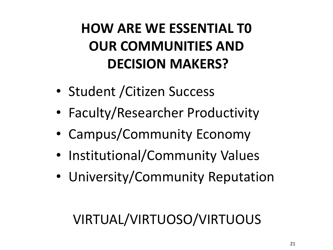## **HOW ARE WE ESSENTIAL T0 OUR COMMUNITIES AND DECISION MAKERS?**

- Student /Citizen Success
- Faculty/Researcher Productivity
- Campus/Community Economy
- Institutional/Community Values
- University/Community Reputation

### VIRTUAL/VIRTUOSO/VIRTUOUS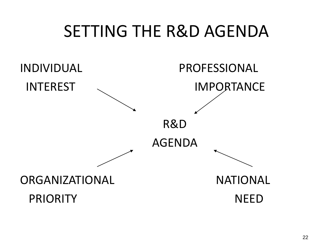## SETTING THE R&D AGENDA

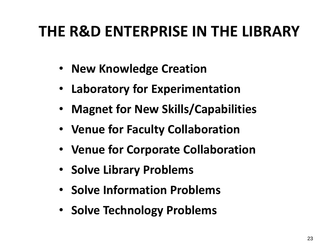## **THE R&D ENTERPRISE IN THE LIBRARY**

- **New Knowledge Creation**
- **Laboratory for Experimentation**
- **Magnet for New Skills/Capabilities**
- **Venue for Faculty Collaboration**
- **Venue for Corporate Collaboration**
- **Solve Library Problems**
- **Solve Information Problems**
- **Solve Technology Problems**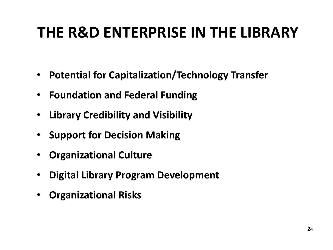## **THE R&D ENTERPRISE IN THE LIBRARY**

- **Potential for Capitalization/Technology Transfer**
- **Foundation and Federal Funding**
- **Library Credibility and Visibility**
- **Support for Decision Making**
- **Organizational Culture**
- **Digital Library Program Development**
- **Organizational Risks**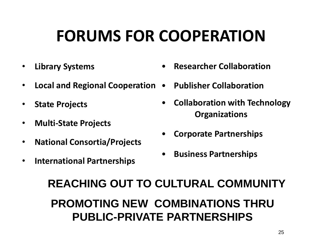## **FORUMS FOR COOPERATION**

- **Library Systems**
- **Local and Regional Cooperation Publisher Collaboration**
- **State Projects**
- **Multi-State Projects**
- **National Consortia/Projects**
- **International Partnerships**
- **Researcher Collaboration**
- 
- **Collaboration with Technology Organizations**
- **Corporate Partnerships**
- **Business Partnerships**

#### **REACHING OUT TO CULTURAL COMMUNITY PROMOTING NEW COMBINATIONS THRU PUBLIC-PRIVATE PARTNERSHIPS**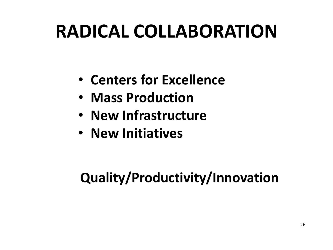## **RADICAL COLLABORATION**

- **Centers for Excellence**
- **Mass Production**
- **New Infrastructure**
- **New Initiatives**

### **Quality/Productivity/Innovation**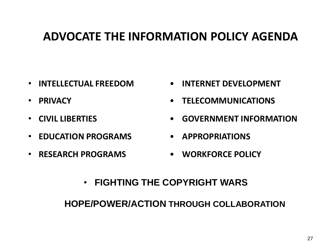#### **ADVOCATE THE INFORMATION POLICY AGENDA**

- **INTELLECTUAL FREEDOM**
- **PRIVACY**
- **CIVIL LIBERTIES**
- **EDUCATION PROGRAMS**
- **RESEARCH PROGRAMS**
- **INTERNET DEVELOPMENT**
- **TELECOMMUNICATIONS**
- **GOVERNMENT INFORMATION**
- **APPROPRIATIONS**
- **WORKFORCE POLICY**
- **FIGHTING THE COPYRIGHT WARS**

**HOPE/POWER/ACTION THROUGH COLLABORATION**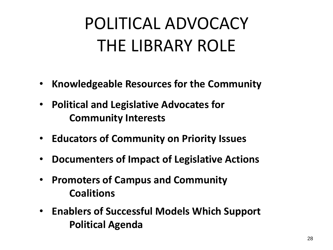## POLITICAL ADVOCACY THE LIBRARY ROLE

- **Knowledgeable Resources for the Community**
- **Political and Legislative Advocates for Community Interests**
- **Educators of Community on Priority Issues**
- **Documenters of Impact of Legislative Actions**
- **Promoters of Campus and Community Coalitions**
- **Enablers of Successful Models Which Support Political Agenda**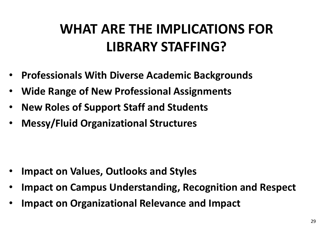### **WHAT ARE THE IMPLICATIONS FOR LIBRARY STAFFING?**

- **Professionals With Diverse Academic Backgrounds**
- **Wide Range of New Professional Assignments**
- **New Roles of Support Staff and Students**
- **Messy/Fluid Organizational Structures**

- **Impact on Values, Outlooks and Styles**
- **Impact on Campus Understanding, Recognition and Respect**
- **Impact on Organizational Relevance and Impact**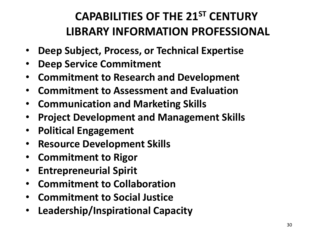#### **CAPABILITIES OF THE 21ST CENTURY LIBRARY INFORMATION PROFESSIONAL**

- **Deep Subject, Process, or Technical Expertise**
- **Deep Service Commitment**
- **Commitment to Research and Development**
- **Commitment to Assessment and Evaluation**
- **Communication and Marketing Skills**
- **Project Development and Management Skills**
- **Political Engagement**
- **Resource Development Skills**
- **Commitment to Rigor**
- **Entrepreneurial Spirit**
- **Commitment to Collaboration**
- **Commitment to Social Justice**
- **Leadership/Inspirational Capacity**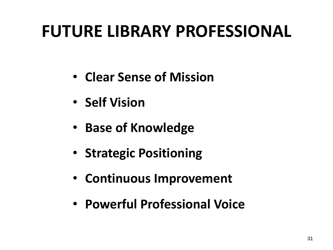## **FUTURE LIBRARY PROFESSIONAL**

- **Clear Sense of Mission**
- **Self Vision**
- **Base of Knowledge**
- **Strategic Positioning**
- **Continuous Improvement**
- **Powerful Professional Voice**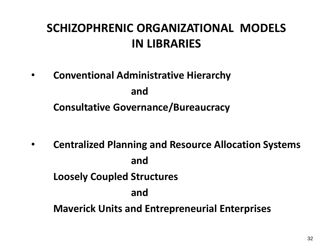#### **SCHIZOPHRENIC ORGANIZATIONAL MODELS IN LIBRARIES**

• **Conventional Administrative Hierarchy and Consultative Governance/Bureaucracy**

• **Centralized Planning and Resource Allocation Systems and Loosely Coupled Structures and Maverick Units and Entrepreneurial Enterprises**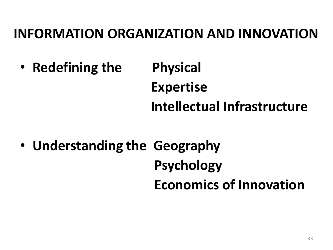#### **INFORMATION ORGANIZATION AND INNOVATION**

- **Redefining the Physical Expertise Intellectual Infrastructure**
- **Understanding the Geography Psychology Economics of Innovation**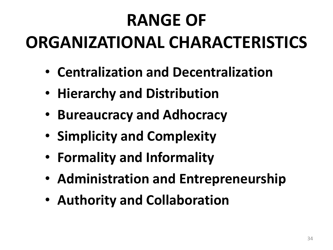# **RANGE OF ORGANIZATIONAL CHARACTERISTICS**

- **Centralization and Decentralization**
- **Hierarchy and Distribution**
- **Bureaucracy and Adhocracy**
- **Simplicity and Complexity**
- **Formality and Informality**
- **Administration and Entrepreneurship**
- **Authority and Collaboration**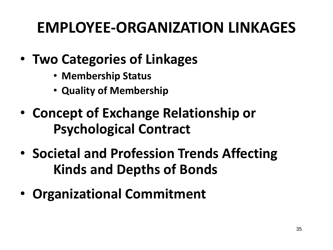## **EMPLOYEE-ORGANIZATION LINKAGES**

- **Two Categories of Linkages**
	- **Membership Status**
	- **Quality of Membership**
- **Concept of Exchange Relationship or Psychological Contract**
- **Societal and Profession Trends Affecting Kinds and Depths of Bonds**
- **Organizational Commitment**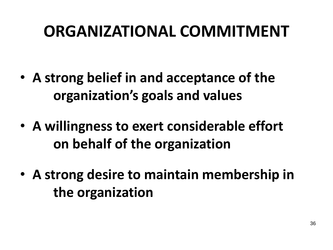## **ORGANIZATIONAL COMMITMENT**

- **A strong belief in and acceptance of the organization's goals and values**
- **A willingness to exert considerable effort on behalf of the organization**
- **A strong desire to maintain membership in the organization**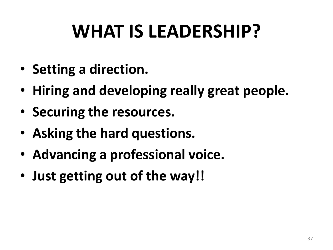# **WHAT IS LEADERSHIP?**

- **Setting a direction.**
- **Hiring and developing really great people.**
- **Securing the resources.**
- **Asking the hard questions.**
- **Advancing a professional voice.**
- **Just getting out of the way!!**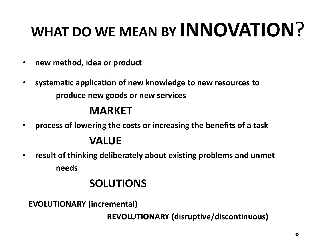# **WHAT DO WE MEAN BY INNOVATION**?

- **new method, idea or product**
- **systematic application of new knowledge to new resources to produce new goods or new services**

#### **MARKET**

• **process of lowering the costs or increasing the benefits of a task**

#### **VALUE**

• **result of thinking deliberately about existing problems and unmet needs**

#### **SOLUTIONS**

**EVOLUTIONARY (incremental)**

**REVOLUTIONARY (disruptive/discontinuous)**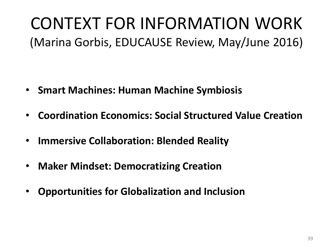## CONTEXT FOR INFORMATION WORK (Marina Gorbis, EDUCAUSE Review, May/June 2016)

- **Smart Machines: Human Machine Symbiosis**
- **Coordination Economics: Social Structured Value Creation**
- **Immersive Collaboration: Blended Reality**
- **Maker Mindset: Democratizing Creation**
- **Opportunities for Globalization and Inclusion**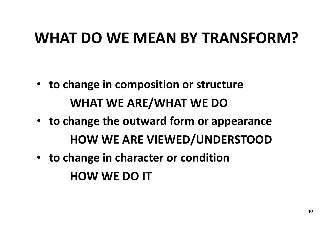### **WHAT DO WE MEAN BY TRANSFORM?**

- **to change in composition or structure WHAT WE ARE/WHAT WE DO**
- **to change the outward form or appearance HOW WE ARE VIEWED/UNDERSTOOD**
- **to change in character or condition HOW WE DO IT**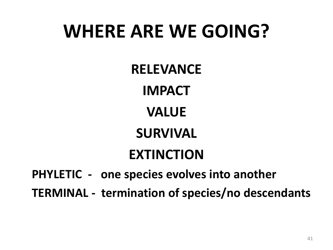## **WHERE ARE WE GOING?**

**RELEVANCE**

**IMPACT**

**VALUE**

**SURVIVAL**

### **EXTINCTION**

**PHYLETIC - one species evolves into another**

**TERMINAL - termination of species/no descendants**